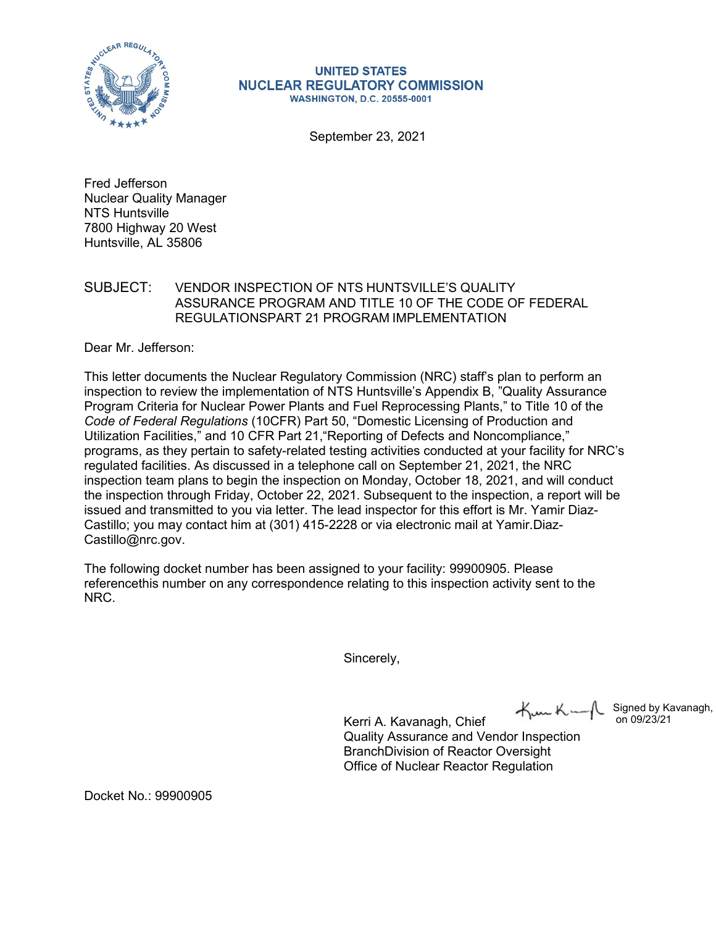

**UNITED STATES NUCLEAR REGULATORY COMMISSION WASHINGTON, D.C. 20555-0001** 

September 23, 2021

Fred Jefferson Nuclear Quality Manager NTS Huntsville 7800 Highway 20 West Huntsville, AL 35806

## SUBJECT: VENDOR INSPECTION OF NTS HUNTSVILLE'S QUALITY ASSURANCE PROGRAM AND TITLE 10 OF THE CODE OF FEDERAL REGULATIONSPART 21 PROGRAM IMPLEMENTATION

Dear Mr. Jefferson:

This letter documents the Nuclear Regulatory Commission (NRC) staff's plan to perform an inspection to review the implementation of NTS Huntsville's Appendix B, "Quality Assurance Program Criteria for Nuclear Power Plants and Fuel Reprocessing Plants," to Title 10 of the *Code of Federal Regulations* (10CFR) Part 50, "Domestic Licensing of Production and Utilization Facilities," and 10 CFR Part 21,"Reporting of Defects and Noncompliance," programs, as they pertain to safety-related testing activities conducted at your facility for NRC's regulated facilities. As discussed in a telephone call on September 21, 2021, the NRC inspection team plans to begin the inspection on Monday, October 18, 2021, and will conduct the inspection through Friday, October 22, 2021. Subsequent to the inspection, a report will be issued and transmitted to you via letter. The lead inspector for this effort is Mr. Yamir Diaz-Castillo; you may contact him at (301) 415-2228 or via electronic mail at Yamir.Diaz-[Castill](mailto:Castillo@nrc.gov)[o@nrc.gov.](mailto:o@nrc.gov)

The following docket number has been assigned to your facility: 99900905. Please referencethis number on any correspondence relating to this inspection activity sent to the NRC.

Sincerely,

Kerri A. Kavanagh, Chief Quality Assurance and Vendor Inspection BranchDivision of Reactor Oversight Office of Nuclear Reactor Regulation

Signed by Kavanagh, on 09/23/21

Docket No.: 99900905